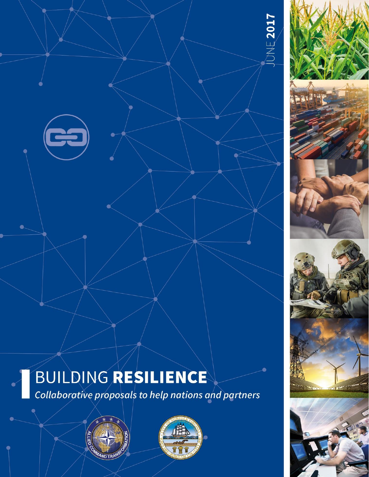

# BUILDING RESILIENCE

Collaborative proposals to help nations and partners







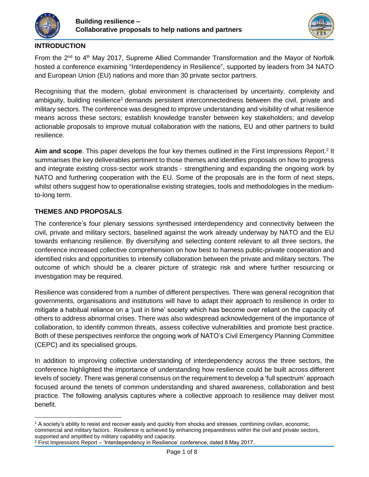



## **INTRODUCTION**

From the 2<sup>nd</sup> to 4<sup>th</sup> May 2017, Supreme Allied Commander Transformation and the Mayor of Norfolk hosted a conference examining "Interdependency in Resilience", supported by leaders from 34 NATO and European Union (EU) nations and more than 30 private sector partners.

Recognising that the modern, global environment is characterised by uncertainty, complexity and ambiguity, building resilience<sup>1</sup> demands persistent interconnectedness between the civil, private and military sectors. The conference was designed to improve understanding and visibility of what resilience means across these sectors; establish knowledge transfer between key stakeholders; and develop actionable proposals to improve mutual collaboration with the nations, EU and other partners to build resilience.

Aim and scope. This paper develops the four key themes outlined in the First Impressions Report.<sup>2</sup> It summarises the key deliverables pertinent to those themes and identifies proposals on how to progress and integrate existing cross-sector work strands - strengthening and expanding the ongoing work by NATO and furthering cooperation with the EU. Some of the proposals are in the form of next steps, whilst others suggest how to operationalise existing strategies, tools and methodologies in the mediumto-long term.

# **THEMES AND PROPOSALS**

 $\ddot{\phantom{a}}$ 

The conference's four plenary sessions synthesised interdependency and connectivity between the civil, private and military sectors, baselined against the work already underway by NATO and the EU towards enhancing resilience. By diversifying and selecting content relevant to all three sectors, the conference increased collective comprehension on how best to harness public-private cooperation and identified risks and opportunities to intensify collaboration between the private and military sectors. The outcome of which should be a clearer picture of strategic risk and where further resourcing or investigation may be required.

Resilience was considered from a number of different perspectives. There was general recognition that governments, organisations and institutions will have to adapt their approach to resilience in order to mitigate a habitual reliance on a 'just in time' society which has become over reliant on the capacity of others to address abnormal crises. There was also widespread acknowledgement of the importance of collaboration, to identify common threats, assess collective vulnerabilities and promote best practice. Both of these perspectives reinforce the ongoing work of NATO's Civil Emergency Planning Committee (CEPC) and its specialised groups.

In addition to improving collective understanding of interdependency across the three sectors, the conference highlighted the importance of understanding how resilience could be built across different levels of society. There was general consensus on the requirement to develop a 'full spectrum' approach focused around the tenets of common understanding and shared awareness, collaboration and best practice. The following analysis captures where a collective approach to resilience may deliver most benefit.

<sup>1</sup> A society's ability to resist and recover easily and quickly from shocks and stresses, combining civilian, economic, commercial and military factors. Resilience is achieved by enhancing preparedness within the civil and private sectors, supported and amplified by military capability and capacity.

 $2$  First Impressions Report – 'Interdependency in Resilience' conference, dated 8 May 2017.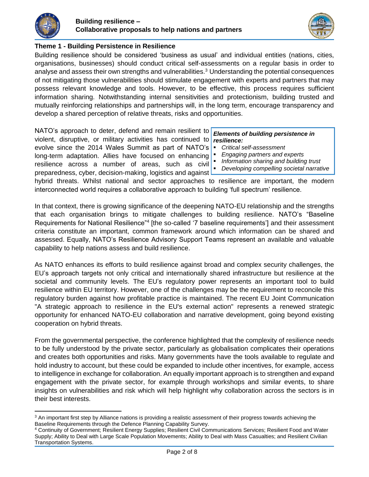

 $\overline{a}$ 



# **Theme 1 - Building Persistence in Resilience**

Building resilience should be considered 'business as usual' and individual entities (nations, cities, organisations, businesses) should conduct critical self-assessments on a regular basis in order to analyse and assess their own strengths and vulnerabilities.<sup>3</sup> Understanding the potential consequences of not mitigating those vulnerabilities should stimulate engagement with experts and partners that may possess relevant knowledge and tools. However, to be effective, this process requires sufficient information sharing. Notwithstanding internal sensitivities and protectionism, building trusted and mutually reinforcing relationships and partnerships will, in the long term, encourage transparency and develop a shared perception of relative threats, risks and opportunities.

NATO's approach to deter, defend and remain resilient to violent, disruptive, or military activities has continued to evolve since the 2014 Wales Summit as part of NATO's  $\blacksquare$ long-term adaptation. Allies have focused on enhancing resilience across a number of areas, such as civil preparedness, cyber, decision-making, logistics and against

### *Elements of building persistence in resilience:*

- *Critical self-assessment*
- *Engaging partners and experts*
- *Information sharing and building trust*
- *Developing compelling societal narrative*

hybrid threats. Whilst national and sector approaches to resilience are important, the modern interconnected world requires a collaborative approach to building 'full spectrum' resilience.

In that context, there is growing significance of the deepening NATO-EU relationship and the strengths that each organisation brings to mitigate challenges to building resilience. NATO's "Baseline Requirements for National Resilience<sup>"4</sup> [the so-called '7 baseline requirements'] and their assessment criteria constitute an important, common framework around which information can be shared and assessed. Equally, NATO's Resilience Advisory Support Teams represent an available and valuable capability to help nations assess and build resilience.

As NATO enhances its efforts to build resilience against broad and complex security challenges, the EU's approach targets not only critical and internationally shared infrastructure but resilience at the societal and community levels. The EU's regulatory power represents an important tool to build resilience within EU territory. However, one of the challenges may be the requirement to reconcile this regulatory burden against how profitable practice is maintained. The recent EU Joint Communication "A strategic approach to resilience in the EU's external action" represents a renewed strategic opportunity for enhanced NATO-EU collaboration and narrative development, going beyond existing cooperation on hybrid threats.

From the governmental perspective, the conference highlighted that the complexity of resilience needs to be fully understood by the private sector, particularly as globalisation complicates their operations and creates both opportunities and risks. Many governments have the tools available to regulate and hold industry to account, but these could be expanded to include other incentives, for example, access to intelligence in exchange for collaboration. An equally important approach is to strengthen and expand engagement with the private sector, for example through workshops and similar events, to share insights on vulnerabilities and risk which will help highlight why collaboration across the sectors is in their best interests.

<sup>&</sup>lt;sup>3</sup> An important first step by Alliance nations is providing a realistic assessment of their progress towards achieving the Baseline Requirements through the Defence Planning Capability Survey.

<sup>4</sup> Continuity of Government; Resilient Energy Supplies; Resilient Civil Communications Services; Resilient Food and Water Supply; Ability to Deal with Large Scale Population Movements; Ability to Deal with Mass Casualties; and Resilient Civilian Transportation Systems.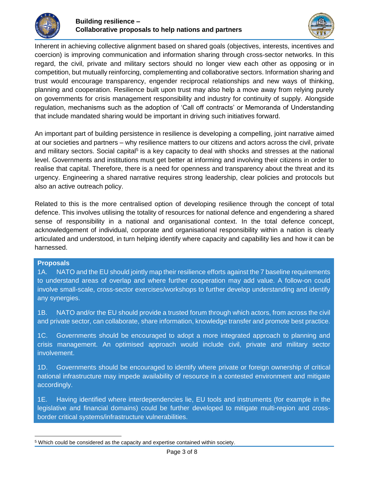



Inherent in achieving collective alignment based on shared goals (objectives, interests, incentives and coercion) is improving communication and information sharing through cross-sector networks. In this regard, the civil, private and military sectors should no longer view each other as opposing or in competition, but mutually reinforcing, complementing and collaborative sectors. Information sharing and trust would encourage transparency, engender reciprocal relationships and new ways of thinking, planning and cooperation. Resilience built upon trust may also help a move away from relying purely on governments for crisis management responsibility and industry for continuity of supply. Alongside regulation, mechanisms such as the adoption of 'Call off contracts' or Memoranda of Understanding that include mandated sharing would be important in driving such initiatives forward.

An important part of building persistence in resilience is developing a compelling, joint narrative aimed at our societies and partners – why resilience matters to our citizens and actors across the civil, private and military sectors. Social capital<sup>5</sup> is a key capacity to deal with shocks and stresses at the national level. Governments and institutions must get better at informing and involving their citizens in order to realise that capital. Therefore, there is a need for openness and transparency about the threat and its urgency. Engineering a shared narrative requires strong leadership, clear policies and protocols but also an active outreach policy.

Related to this is the more centralised option of developing resilience through the concept of total defence. This involves utilising the totality of resources for national defence and engendering a shared sense of responsibility in a national and organisational context. In the total defence concept, acknowledgement of individual, corporate and organisational responsibility within a nation is clearly articulated and understood, in turn helping identify where capacity and capability lies and how it can be harnessed.

### **Proposals**

1A. NATO and the EU should jointly map their resilience efforts against the 7 baseline requirements to understand areas of overlap and where further cooperation may add value. A follow-on could involve small-scale, cross-sector exercises/workshops to further develop understanding and identify any synergies.

1B. NATO and/or the EU should provide a trusted forum through which actors, from across the civil and private sector, can collaborate, share information, knowledge transfer and promote best practice.

1C. Governments should be encouraged to adopt a more integrated approach to planning and crisis management. An optimised approach would include civil, private and military sector involvement.

1D. Governments should be encouraged to identify where private or foreign ownership of critical national infrastructure may impede availability of resource in a contested environment and mitigate accordingly.

1E. Having identified where interdependencies lie, EU tools and instruments (for example in the legislative and financial domains) could be further developed to mitigate multi-region and crossborder critical systems/infrastructure vulnerabilities.

 $\overline{a}$ <sup>5</sup> Which could be considered as the capacity and expertise contained within society.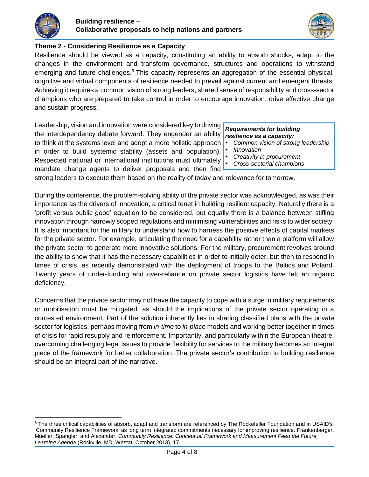

 $\ddot{\phantom{a}}$ 



# **Theme 2 - Considering Resilience as a Capacity**

Resilience should be viewed as a capacity, constituting an ability to absorb shocks, adapt to the changes in the environment and transform governance, structures and operations to withstand emerging and future challenges. $6$  This capacity represents an aggregation of the essential physical, cognitive and virtual components of resilience needed to prevail against current and emergent threats. Achieving it requires a common vision of strong leaders, shared sense of responsibility and cross-sector champions who are prepared to take control in order to encourage innovation, drive effective change and sustain progress.

Leadership, vision and innovation were considered key to driving the interdependency debate forward. They engender an ability to think at the systems level and adopt a more holistic approach in order to build systemic stability (assets and population). Respected national or international institutions must ultimately mandate change agents to deliver proposals and then find

#### *Requirements for building resilience as a capacity:*

- *Common vision of strong leadership*
- *Innovation*
- *Creativity in procurement*
- *Cross-sectorial champions*

strong leaders to execute them based on the reality of today and relevance for tomorrow.

During the conference, the problem-solving ability of the private sector was acknowledged, as was their importance as the drivers of innovation; a critical tenet in building resilient capacity. Naturally there is a 'profit versus public good' equation to be considered, but equally there is a balance between stifling innovation through narrowly scoped regulations and minimising vulnerabilities and risks to wider society. It is also important for the military to understand how to harness the positive effects of capital markets for the private sector. For example, articulating the need for a capability rather than a platform will allow the private sector to generate more innovative solutions. For the military, procurement revolves around the ability to show that it has the necessary capabilities in order to initially deter, but then to respond in times of crisis, as recently demonstrated with the deployment of troops to the Baltics and Poland. Twenty years of under-funding and over-reliance on private sector logistics have left an organic deficiency.

Concerns that the private sector may not have the capacity to cope with a surge in military requirements or mobilisation must be mitigated, as should the implications of the private sector operating in a contested environment. Part of the solution inherently lies in sharing classified plans with the private sector for logistics, perhaps moving from *in-time* to *in-place* models and working better together in times of crisis for rapid resupply and reinforcement. Importantly, and particularly within the European theatre, overcoming challenging legal issues to provide flexibility for services to the military becomes an integral piece of the framework for better collaboration. The private sector's contribution to building resilience should be an integral part of the narrative.

<sup>&</sup>lt;sup>6</sup> The three critical capabilities of absorb, adapt and transform are referenced by The Rockefeller Foundation and in USAID's ['Community Resilience Framework'](https://agrilinks.org/sites/default/files/resource/files/FTF%20Learning_Agenda_Community_Resilience_Oct%202013.pdf) as long term integrated commitments necessary for improving resilience. Frankenberger, Mueller, Spangler, and Alexander. *Community Resilience: Conceptual Framework and Measurement Feed the Future Learning Agenda* (Rockville, MD, Westat, October 2013), 17.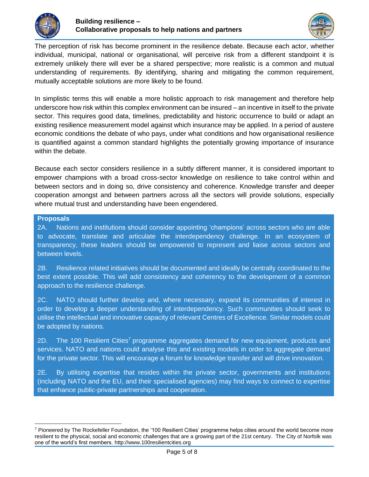



The perception of risk has become prominent in the resilience debate. Because each actor, whether individual, municipal, national or organisational, will perceive risk from a different standpoint it is extremely unlikely there will ever be a shared perspective; more realistic is a common and mutual understanding of requirements. By identifying, sharing and mitigating the common requirement, mutually acceptable solutions are more likely to be found.

In simplistic terms this will enable a more holistic approach to risk management and therefore help underscore how risk within this complex environment can be insured – an incentive in itself to the private sector. This requires good data, timelines, predictability and historic occurrence to build or adapt an existing resilience measurement model against which insurance may be applied. In a period of austere economic conditions the debate of who pays, under what conditions and how organisational resilience is quantified against a common standard highlights the potentially growing importance of insurance within the debate.

Because each sector considers resilience in a subtly different manner, it is considered important to empower champions with a broad cross-sector knowledge on resilience to take control within and between sectors and in doing so, drive consistency and coherence. Knowledge transfer and deeper cooperation amongst and between partners across all the sectors will provide solutions, especially where mutual trust and understanding have been engendered.

## **Proposals**

 $\overline{a}$ 

2A. Nations and institutions should consider appointing 'champions' across sectors who are able to advocate, translate and articulate the interdependency challenge. In an ecosystem of transparency, these leaders should be empowered to represent and liaise across sectors and between levels.

2B. Resilience related initiatives should be documented and ideally be centrally coordinated to the best extent possible. This will add consistency and coherency to the development of a common approach to the resilience challenge.

2C. NATO should further develop and, where necessary, expand its communities of interest in order to develop a deeper understanding of interdependency. Such communities should seek to utilise the intellectual and innovative capacity of relevant Centres of Excellence. Similar models could be adopted by nations.

2D. The 100 Resilient Cities<sup>7</sup> programme aggregates demand for new equipment, products and services. NATO and nations could analyse this and existing models in order to aggregate demand for the private sector. This will encourage a forum for knowledge transfer and will drive innovation.

2E. By utilising expertise that resides within the private sector, governments and institutions (including NATO and the EU, and their specialised agencies) may find ways to connect to expertise that enhance public-private partnerships and cooperation.

<sup>7</sup> Pioneered by The Rockefeller Foundation, the '100 Resilient Cities' programme helps cities around the world become more resilient to the physical, social and economic challenges that are a growing part of the 21st century. The City of Norfolk was one of the world's first members. http://www.100resilientcities.org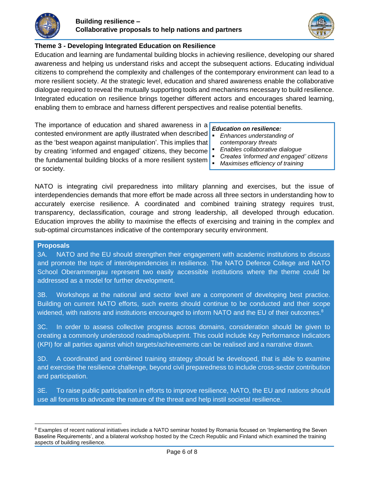



# **Theme 3 - Developing Integrated Education on Resilience**

Education and learning are fundamental building blocks in achieving resilience, developing our shared awareness and helping us understand risks and accept the subsequent actions. Educating individual citizens to comprehend the complexity and challenges of the contemporary environment can lead to a more resilient society. At the strategic level, education and shared awareness enable the collaborative dialogue required to reveal the mutually supporting tools and mechanisms necessary to build resilience. Integrated education on resilience brings together different actors and encourages shared learning, enabling them to embrace and harness different perspectives and realise potential benefits.

The importance of education and shared awareness in a contested environment are aptly illustrated when described as the 'best weapon against manipulation'. This implies that by creating 'informed and engaged' citizens, they become the fundamental building blocks of a more resilient system or society.

## *Education on resilience:*

- *Enhances understanding of contemporary threats*
- *Enables collaborative dialogue*
- *Creates 'informed and engaged' citizens*
- *Maximises efficiency of training*

NATO is integrating civil preparedness into military planning and exercises, but the issue of interdependencies demands that more effort be made across all three sectors in understanding how to accurately exercise resilience. A coordinated and combined training strategy requires trust, transparency, declassification, courage and strong leadership, all developed through education. Education improves the ability to maximise the effects of exercising and training in the complex and sub-optimal circumstances indicative of the contemporary security environment.

### **Proposals**

3A. NATO and the EU should strengthen their engagement with academic institutions to discuss and promote the topic of interdependencies in resilience. The NATO Defence College and NATO School Oberammergau represent two easily accessible institutions where the theme could be addressed as a model for further development.

3B. Workshops at the national and sector level are a component of developing best practice. Building on current NATO efforts, such events should continue to be conducted and their scope widened, with nations and institutions encouraged to inform NATO and the EU of their outcomes.<sup>8</sup>

3C. In order to assess collective progress across domains, consideration should be given to creating a commonly understood roadmap/blueprint. This could include Key Performance Indicators (KPI) for all parties against which targets/achievements can be realised and a narrative drawn.

3D. A coordinated and combined training strategy should be developed, that is able to examine and exercise the resilience challenge, beyond civil preparedness to include cross-sector contribution and participation.

3E. To raise public participation in efforts to improve resilience, NATO, the EU and nations should use all forums to advocate the nature of the threat and help instil societal resilience.

 $\overline{a}$ <sup>8</sup> Examples of recent national initiatives include a NATO seminar hosted by Romania focused on 'Implementing the Seven Baseline Requirements', and a bilateral workshop hosted by the Czech Republic and Finland which examined the training aspects of building resilience.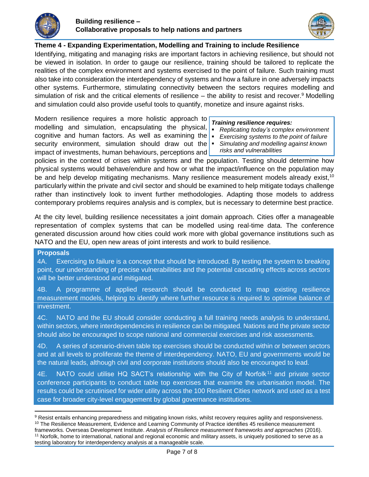



## **Theme 4 - Expanding Experimentation, Modelling and Training to include Resilience**

Identifying, mitigating and managing risks are important factors in achieving resilience, but should not be viewed in isolation. In order to gauge our resilience, training should be tailored to replicate the realities of the complex environment and systems exercised to the point of failure. Such training must also take into consideration the interdependency of systems and how a failure in one adversely impacts other systems. Furthermore, stimulating connectivity between the sectors requires modelling and simulation of risk and the critical elements of resilience  $-$  the ability to resist and recover.<sup>9</sup> Modelling and simulation could also provide useful tools to quantify, monetize and insure against risks.

Modern resilience requires a more holistic approach to modelling and simulation, encapsulating the physical, cognitive and human factors. As well as examining the  $\blacksquare$ security environment, simulation should draw out the impact of investments, human behaviours, perceptions and

## *Training resilience requires:*

- *Replicating today's complex environment*
- *Exercising systems to the point of failure*
- *Simulating and modelling against known risks and vulnerabilities*

policies in the context of crises within systems and the population. Testing should determine how physical systems would behave/endure and how or what the impact/influence on the population may be and help develop mitigating mechanisms. Many resilience measurement models already exist,<sup>10</sup> particularly within the private and civil sector and should be examined to help mitigate todays challenge rather than instinctively look to invent further methodologies. Adapting those models to address contemporary problems requires analysis and is complex, but is necessary to determine best practice.

At the city level, building resilience necessitates a joint domain approach. Cities offer a manageable representation of complex systems that can be modelled using real-time data. The conference generated discussion around how cities could work more with global governance institutions such as NATO and the EU, open new areas of joint interests and work to build resilience.

### **Proposals**

4A. Exercising to failure is a concept that should be introduced. By testing the system to breaking point, our understanding of precise vulnerabilities and the potential cascading effects across sectors will be better understood and mitigated.

4B. A programme of applied research should be conducted to map existing resilience measurement models, helping to identify where further resource is required to optimise balance of investment.

4C. NATO and the EU should consider conducting a full training needs analysis to understand, within sectors, where interdependencies in resilience can be mitigated. Nations and the private sector should also be encouraged to scope national and commercial exercises and risk assessments.

4D. A series of scenario-driven table top exercises should be conducted within or between sectors and at all levels to proliferate the theme of interdependency. NATO, EU and governments would be the natural leads, although civil and corporate institutions should also be encouraged to lead.

4E. NATO could utilise HQ SACT's relationship with the City of Norfolk<sup>11</sup> and private sector conference participants to conduct table top exercises that examine the urbanisation model. The results could be scrutinised for wider utility across the 100 Resilient Cities network and used as a test case for broader city-level engagement by global governance institutions.

 $\overline{a}$ 9 Resist entails enhancing preparedness and mitigating known risks, whilst recovery requires agility and responsiveness. <sup>10</sup> The Resilience Measurement, Evidence and Learning Community of Practice identifies 45 resilience measurement frameworks. Overseas Development Institute. *[Analysis of Resilience measurement frameworks and approaches](http://www.fsnnetwork.org/sites/default/files/analysis_of_resilience_measurement_frameworks_and_approaches.pdf)* (2016). <sup>11</sup> Norfolk, home to international, national and regional economic and military assets, is uniquely positioned to serve as a testing laboratory for interdependency analysis at a manageable scale.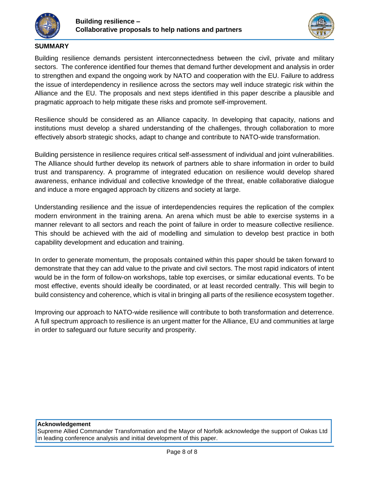



## **SUMMARY**

Building resilience demands persistent interconnectedness between the civil, private and military sectors. The conference identified four themes that demand further development and analysis in order to strengthen and expand the ongoing work by NATO and cooperation with the EU. Failure to address the issue of interdependency in resilience across the sectors may well induce strategic risk within the Alliance and the EU. The proposals and next steps identified in this paper describe a plausible and pragmatic approach to help mitigate these risks and promote self-improvement.

Resilience should be considered as an Alliance capacity. In developing that capacity, nations and institutions must develop a shared understanding of the challenges, through collaboration to more effectively absorb strategic shocks, adapt to change and contribute to NATO-wide transformation.

Building persistence in resilience requires critical self-assessment of individual and joint vulnerabilities. The Alliance should further develop its network of partners able to share information in order to build trust and transparency. A programme of integrated education on resilience would develop shared awareness, enhance individual and collective knowledge of the threat, enable collaborative dialogue and induce a more engaged approach by citizens and society at large.

Understanding resilience and the issue of interdependencies requires the replication of the complex modern environment in the training arena. An arena which must be able to exercise systems in a manner relevant to all sectors and reach the point of failure in order to measure collective resilience. This should be achieved with the aid of modelling and simulation to develop best practice in both capability development and education and training.

In order to generate momentum, the proposals contained within this paper should be taken forward to demonstrate that they can add value to the private and civil sectors. The most rapid indicators of intent would be in the form of follow-on workshops, table top exercises, or similar educational events. To be most effective, events should ideally be coordinated, or at least recorded centrally. This will begin to build consistency and coherence, which is vital in bringing all parts of the resilience ecosystem together.

Improving our approach to NATO-wide resilience will contribute to both transformation and deterrence. A full spectrum approach to resilience is an urgent matter for the Alliance, EU and communities at large in order to safeguard our future security and prosperity.

### **Acknowledgement**

Supreme Allied Commander Transformation and the Mayor of Norfolk acknowledge the support of [Oakas Ltd](http://www.oakas.co.uk/) in leading conference analysis and initial development of this paper.